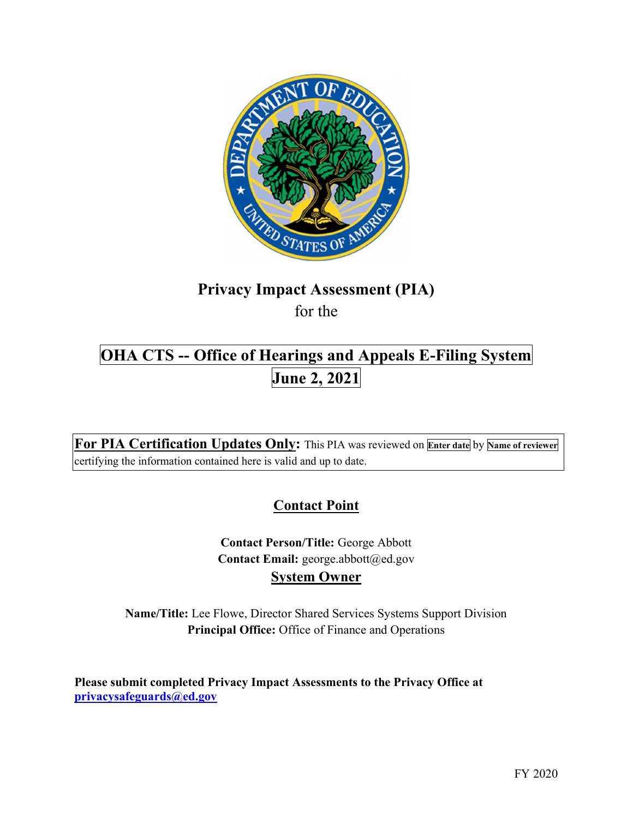

# Privacy Impact Assessment (PIA) for the

# OHA CTS -- Office of Hearings and Appeals E-Filing System June 2, 2021

For PIA Certification Updates Only: This PIA was reviewed on **Enter date** by Name of reviewer certifying the information contained here is valid and up to date.

# **Contact Point**

Contact Email: [george.abbott@ed.gov](mailto:george.abbott@ed.gov) System Owner Contact Person/Title: George Abbott

 Name/Title: Lee Flowe, Director Shared Services Systems Support Division Principal Office: Office of Finance and Operations

 Please submit completed Privacy Impact Assessments to the Privacy Office at [privacysafeguards@ed.gov](mailto:privacysafeguards@ed.gov)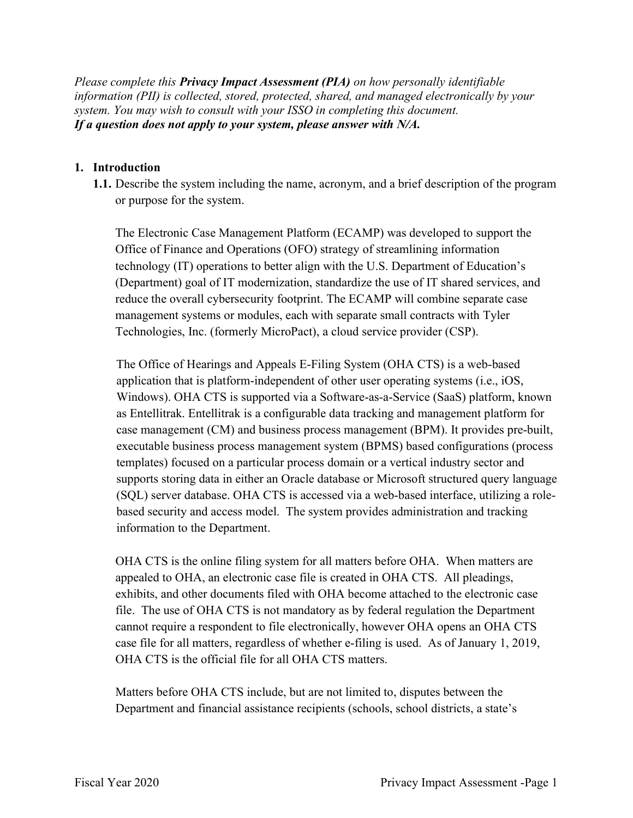Please complete this **Privacy Impact Assessment (PIA)** on how personally identifiable information (PII) is collected, stored, protected, shared, and managed electronically by your system. You may wish to consult with your ISSO in completing this document. If a question does not apply to your system, please answer with N/A.

#### 1. Introduction

 1.1. Describe the system including the name, acronym, and a brief description of the program or purpose for the system.

 The Electronic Case Management Platform (ECAMP) was developed to support the Office of Finance and Operations (OFO) strategy of streamlining information technology (IT) operations to better align with the U.S. Department of Education's (Department) goal of IT modernization, standardize the use of IT shared services, and reduce the overall cybersecurity footprint. The ECAMP will combine separate case management systems or modules, each with separate small contracts with Tyler Technologies, Inc. (formerly MicroPact), a cloud service provider (CSP).

 The Office of Hearings and Appeals E-Filing System (OHA CTS) is a web-based application that is platform-independent of other user operating systems (i.e., iOS, Windows). OHA CTS is supported via a Software-as-a-Service (SaaS) platform, known as Entellitrak. Entellitrak is a configurable data tracking and management platform for case management (CM) and business process management (BPM). It provides pre-built, executable business process management system (BPMS) based configurations (process templates) focused on a particular process domain or a vertical industry sector and supports storing data in either an Oracle database or Microsoft structured query language (SQL) server database. OHA CTS is accessed via a web-based interface, utilizing a role- based security and access model. The system provides administration and tracking information to the Department.

 OHA CTS is the online filing system for all matters before OHA. When matters are appealed to OHA, an electronic case file is created in OHA CTS. All pleadings, exhibits, and other documents filed with OHA become attached to the electronic case file. The use of OHA CTS is not mandatory as by federal regulation the Department cannot require a respondent to file electronically, however OHA opens an OHA CTS case file for all matters, regardless of whether e-filing is used. As of January 1, 2019, OHA CTS is the official file for all OHA CTS matters.

 Matters before OHA CTS include, but are not limited to, disputes between the Department and financial assistance recipients (schools, school districts, a state's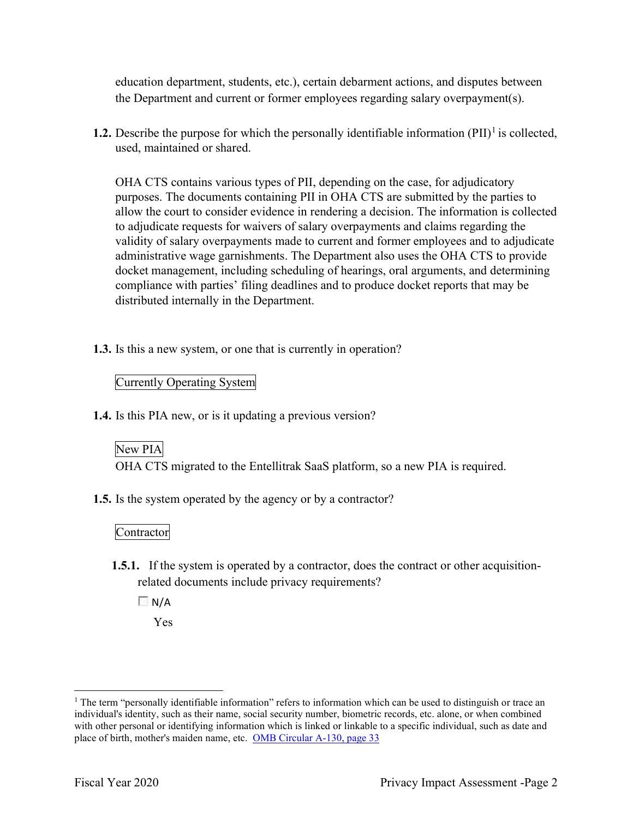education department, students, etc.), certain debarment actions, and disputes between the Department and current or former employees regarding salary overpayment(s).

**1.2.** Describe the purpose for which the personally identifiable information  $(PII)^{1}$  is collected, used, maintained or shared.

 OHA CTS contains various types of PII, depending on the case, for adjudicatory purposes. The documents containing PII in OHA CTS are submitted by the parties to allow the court to consider evidence in rendering a decision. The information is collected to adjudicate requests for waivers of salary overpayments and claims regarding the validity of salary overpayments made to current and former employees and to adjudicate administrative wage garnishments. The Department also uses the OHA CTS to provide docket management, including scheduling of hearings, oral arguments, and determining compliance with parties' filing deadlines and to produce docket reports that may be distributed internally in the Department.

1.3. Is this a new system, or one that is currently in operation?

### Currently Operating System

1.4. Is this PIA new, or is it updating a previous version?

# New PIA

OHA CTS migrated to the Entellitrak SaaS platform, so a new PIA is required.

1.5. Is the system operated by the agency or by a contractor?

#### Contractor

1.5.1. If the system is operated by a contractor, does the contract or other acquisition-related documents include privacy requirements?

 $\Box$  N/A

Yes

 $1$  The term "personally identifiable information" refers to information which can be used to distinguish or trace an individual's identity, such as their name, social security number, biometric records, etc. alone, or when combined with other personal or identifying information which is linked or linkable to a specific individual, such as date and place of birth, mother's maiden name, etc. OMB Circular A-130, page 33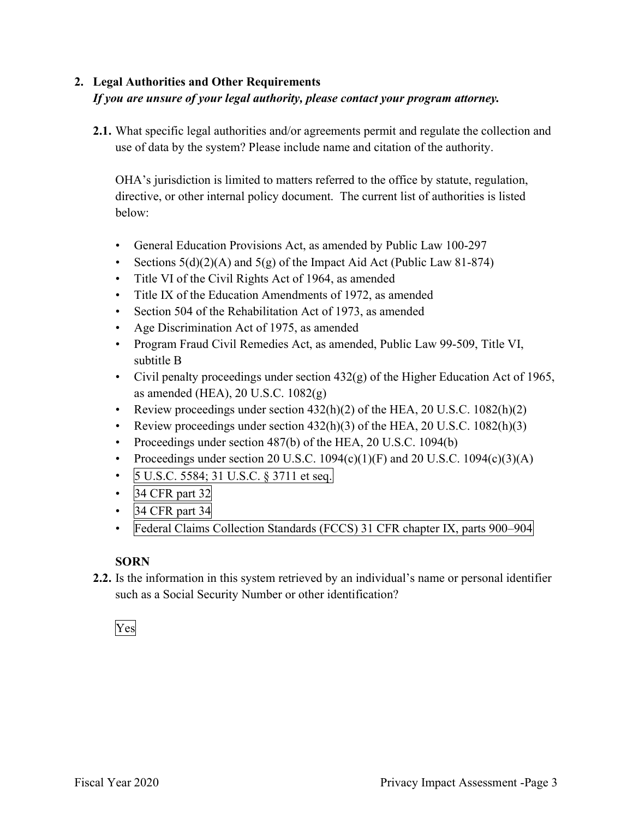# 2. Legal Authorities and Other Requirements If you are unsure of your legal authority, please contact your program attorney.

2.1. What specific legal authorities and/or agreements permit and regulate the collection and use of data by the system? Please include name and citation of the authority.

 OHA's jurisdiction is limited to matters referred to the office by statute, regulation, directive, or other internal policy document. The current list of authorities is listed below:

- General Education Provisions Act, as amended by Public Law 100-297
- Sections  $5(d)(2)(A)$  and  $5(g)$  of the Impact Aid Act (Public Law 81-874)
- Title VI of the Civil Rights Act of 1964, as amended
- Title IX of the Education Amendments of 1972, as amended
- Section 504 of the Rehabilitation Act of 1973, as amended
- Age Discrimination Act of 1975, as amended
- Program Fraud Civil Remedies Act, as amended, Public Law 99-509, Title VI, subtitle B
- • Civil penalty proceedings under section 432(g) of the Higher Education Act of 1965, as amended (HEA), 20 U.S.C. 1082(g)
- Review proceedings under section  $432(h)(2)$  of the HEA, 20 U.S.C.  $1082(h)(2)$
- Review proceedings under section  $432(h)(3)$  of the HEA, 20 U.S.C.  $1082(h)(3)$
- Proceedings under section 487(b) of the HEA, 20 U.S.C. 1094(b)
- Proceedings under section 20 U.S.C.  $1094(c)(1)(F)$  and 20 U.S.C.  $1094(c)(3)(A)$
- 5 U.S.C. 5584; 31 U.S.C. § 3711 et seq. •
- 34 CFR part 32 •
- 34 CFR part 34 •
- Federal Claims Collection Standards (FCCS) 31 CFR chapter IX, parts 900–904 •

## SORN

2.2. Is the information in this system retrieved by an individual's name or personal identifier such as a Social Security Number or other identification?

# Yes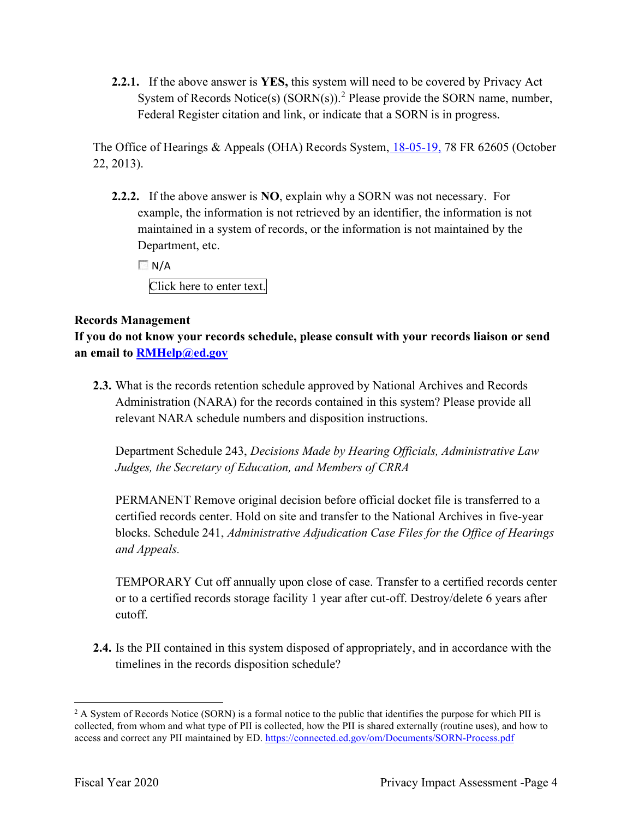2.2.1. If the above answer is YES, this system will need to be covered by Privacy Act System of Records Notice(s)  $(SORN(s))$ .<sup>2</sup> Please provide the SORN name, number, Federal Register citation and link, or indicate that a SORN is in progress.

The Office of Hearings & Appeals (OHA) Records System, 18-05-19, 78 FR 62605 (October 22, 2013).

2.2.2. If the above answer is NO, explain why a SORN was not necessary. For example, the information is not retrieved by an identifier, the information is not maintained in a system of records, or the information is not maintained by the Department, etc.

 $\Box$  N/A

Click here to enter text.

### Records Management

 If you do not know your records schedule, please consult with your records liaison or send an email to **[RMHelp@ed.gov](mailto:RMHelp@ed.gov)** 

2.3. What is the records retention schedule approved by National Archives and Records Administration (NARA) for the records contained in this system? Please provide all relevant NARA schedule numbers and disposition instructions.

 Department Schedule 243, Decisions Made by Hearing Officials, Administrative Law Judges, the Secretary of Education, and Members of CRRA

 PERMANENT Remove original decision before official docket file is transferred to a certified records center. Hold on site and transfer to the National Archives in five-year blocks. Schedule 241, Administrative Adjudication Case Files for the Office of Hearings and Appeals.

 TEMPORARY Cut off annually upon close of case. Transfer to a certified records center or to a certified records storage facility 1 year after cut-off. Destroy/delete 6 years after cutoff.

 2.4. Is the PII contained in this system disposed of appropriately, and in accordance with the timelines in the records disposition schedule?

 $2$  A System of Records Notice (SORN) is a formal notice to the public that identifies the purpose for which PII is collected, from whom and what type of PII is collected, how the PII is shared externally (routine uses), and how to access and correct any PII maintained by ED. <https://connected.ed.gov/om/Documents/SORN-Process.pdf>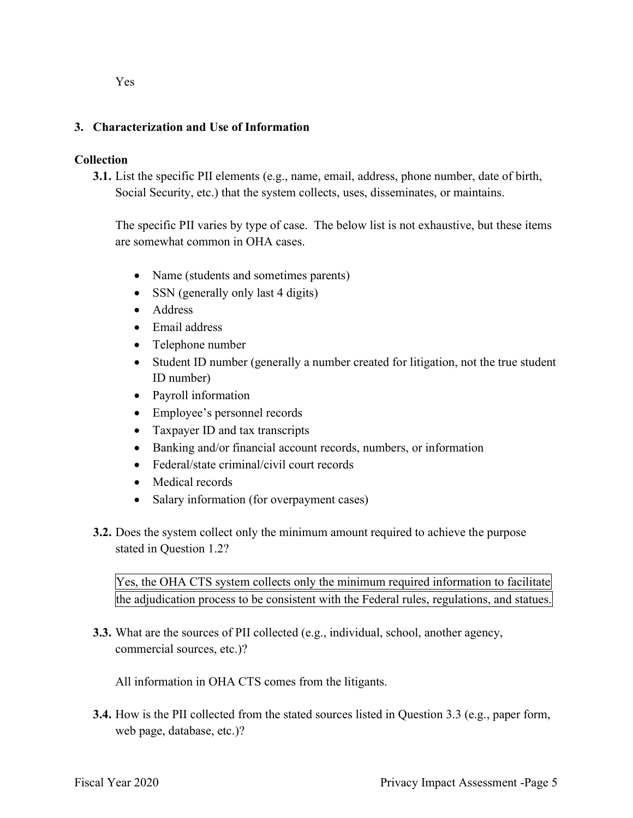#### 3. Characterization and Use of Information

#### Collection

 3.1. List the specific PII elements (e.g., name, email, address, phone number, date of birth, Social Security, etc.) that the system collects, uses, disseminates, or maintains.

 The specific PII varies by type of case. The below list is not exhaustive, but these items are somewhat common in OHA cases.

- Name (students and sometimes parents)
- SSN (generally only last 4 digits)
- Address
- Email address
- Telephone number
- Student ID number (generally a number created for litigation, not the true student ID number)
- Payroll information
- Employee's personnel records
- Taxpayer ID and tax transcripts
- Banking and/or financial account records, numbers, or information
- Federal/state criminal/civil court records
- Medical records
- Salary information (for overpayment cases)
- **3.2.** Does the system collect only the minimum amount required to achieve the purpose stated in Question 1.2?

 Yes, the OHA CTS system collects only the minimum required information to facilitate the adjudication process to be consistent with the Federal rules, regulations, and statues.

 3.3. What are the sources of PII collected (e.g., individual, school, another agency, commercial sources, etc.)?

All information in OHA CTS comes from the litigants.

 3.4. How is the PII collected from the stated sources listed in Question 3.3 (e.g., paper form, web page, database, etc.)?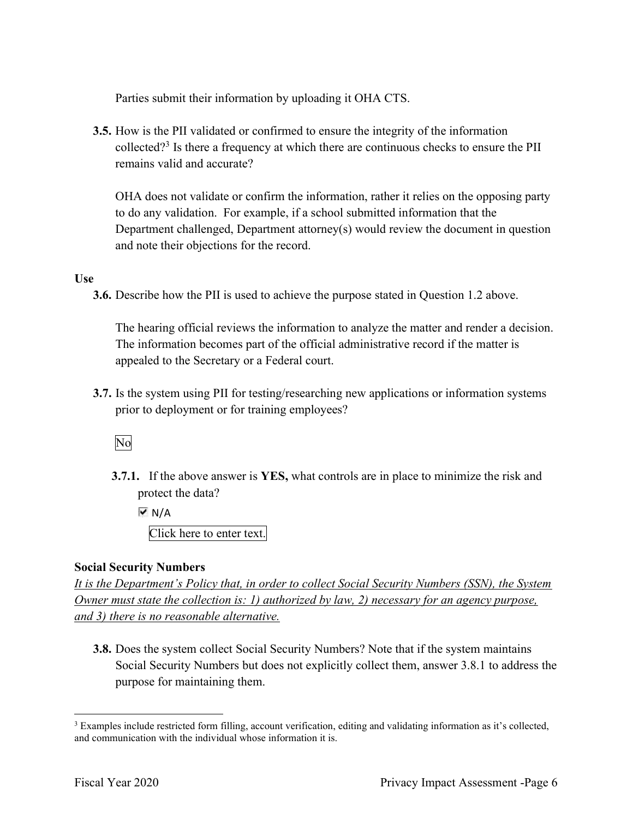Parties submit their information by uploading it OHA CTS.

 3.5. How is the PII validated or confirmed to ensure the integrity of the information collected?<sup>3</sup> Is there a frequency at which there are continuous checks to ensure the PII remains valid and accurate?

 OHA does not validate or confirm the information, rather it relies on the opposing party to do any validation. For example, if a school submitted information that the Department challenged, Department attorney(s) would review the document in question and note their objections for the record.

#### Use

3.6. Describe how the PII is used to achieve the purpose stated in Question 1.2 above.

 The hearing official reviews the information to analyze the matter and render a decision. The information becomes part of the official administrative record if the matter is appealed to the Secretary or a Federal court.

 3.7. Is the system using PII for testing/researching new applications or information systems prior to deployment or for training employees?

No

**3.7.1.** If the above answer is YES, what controls are in place to minimize the risk and protect the data?

 $\overline{M}$  N/A

Click here to enter text.

#### Social Security Numbers

 It is the Department's Policy that, in order to collect Social Security Numbers (SSN), the System Owner must state the collection is: 1) authorized by law, 2) necessary for an agency purpose, and 3) there is no reasonable alternative.

 3.8. Does the system collect Social Security Numbers? Note that if the system maintains Social Security Numbers but does not explicitly collect them, answer 3.8.1 to address the purpose for maintaining them.

 $3$  Examples include restricted form filling, account verification, editing and validating information as it's collected, and communication with the individual whose information it is.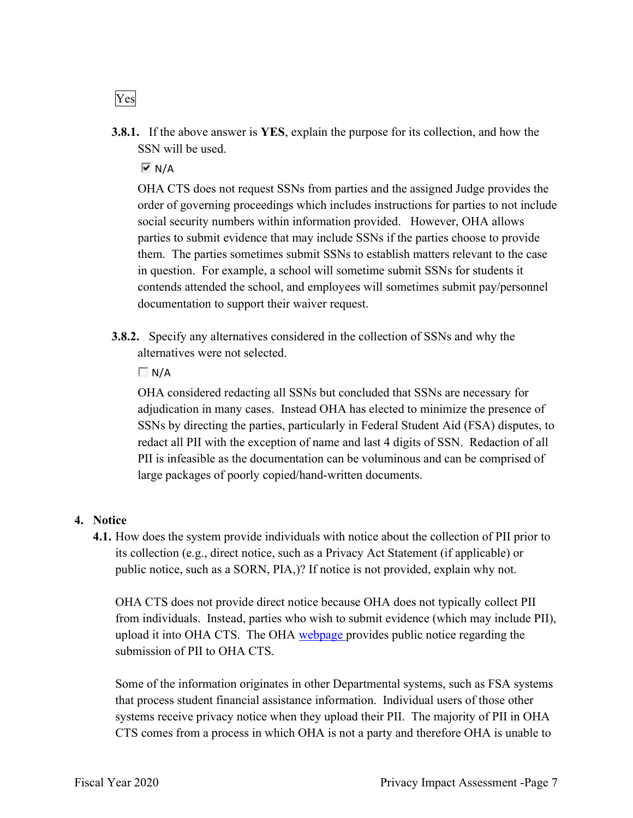**3.8.1.** If the above answer is YES, explain the purpose for its collection, and how the SSN will be used.

 $\overline{\triangledown}$  N/A

 OHA CTS does not request SSNs from parties and the assigned Judge provides the order of governing proceedings which includes instructions for parties to not include social security numbers within information provided. However, OHA allows parties to submit evidence that may include SSNs if the parties choose to provide them. The parties sometimes submit SSNs to establish matters relevant to the case in question. For example, a school will sometime submit SSNs for students it contends attended the school, and employees will sometimes submit pay/personnel documentation to support their waiver request.

**3.8.2.** Specify any alternatives considered in the collection of SSNs and why the alternatives were not selected.

 $\Box N/A$ 

 OHA considered redacting all SSNs but concluded that SSNs are necessary for adjudication in many cases. Instead OHA has elected to minimize the presence of SSNs by directing the parties, particularly in Federal Student Aid (FSA) disputes, to redact all PII with the exception of name and last 4 digits of SSN. Redaction of all PII is infeasible as the documentation can be voluminous and can be comprised of large packages of poorly copied/hand-written documents.

#### 4. Notice

 4.1. How does the system provide individuals with notice about the collection of PII prior to its collection (e.g., direct notice, such as a Privacy Act Statement (if applicable) or public notice, such as a SORN, PIA,)? If notice is not provided, explain why not.

 OHA CTS does not provide direct notice because OHA does not typically collect PII from individuals. Instead, parties who wish to submit evidence (which may include PII), upload it into OHA CTS. The OHA webpage provides public notice regarding the submission of PII to OHA CTS.

 Some of the information originates in other Departmental systems, such as FSA systems that process student financial assistance information. Individual users of those other systems receive privacy notice when they upload their PII. The majority of PII in OHA CTS comes from a process in which OHA is not a party and therefore OHA is unable to

Yes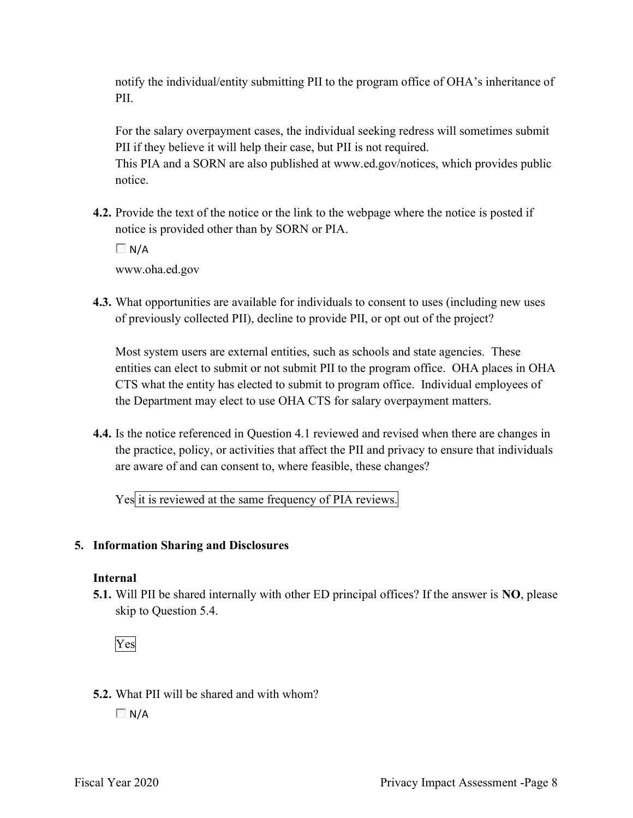notify the individual/entity submitting PII to the program office of OHA's inheritance of PII.

 For the salary overpayment cases, the individual seeking redress will sometimes submit PII if they believe it will help their case, but PII is not required.

 This PIA and a SORN are also published at <www.ed.gov/notices>, which provides public notice.

4.2. Provide the text of the notice or the link to the webpage where the notice is posted if notice is provided other than by SORN or PIA.

 $\Box$  N/A

<www.oha.ed.gov>

4.3. What opportunities are available for individuals to consent to uses (including new uses of previously collected PII), decline to provide PII, or opt out of the project?

 Most system users are external entities, such as schools and state agencies. These entities can elect to submit or not submit PII to the program office. OHA places in OHA CTS what the entity has elected to submit to program office. Individual employees of the Department may elect to use OHA CTS for salary overpayment matters.

 4.4. Is the notice referenced in Question 4.1 reviewed and revised when there are changes in the practice, policy, or activities that affect the PII and privacy to ensure that individuals are aware of and can consent to, where feasible, these changes?

Yes it is reviewed at the same frequency of PIA reviews.

#### 5. Information Sharing and Disclosures

#### Internal

5.1. Will PII be shared internally with other ED principal offices? If the answer is NO, please skip to Question 5.4.



5.2. What PII will be shared and with whom?

 $\Box N/A$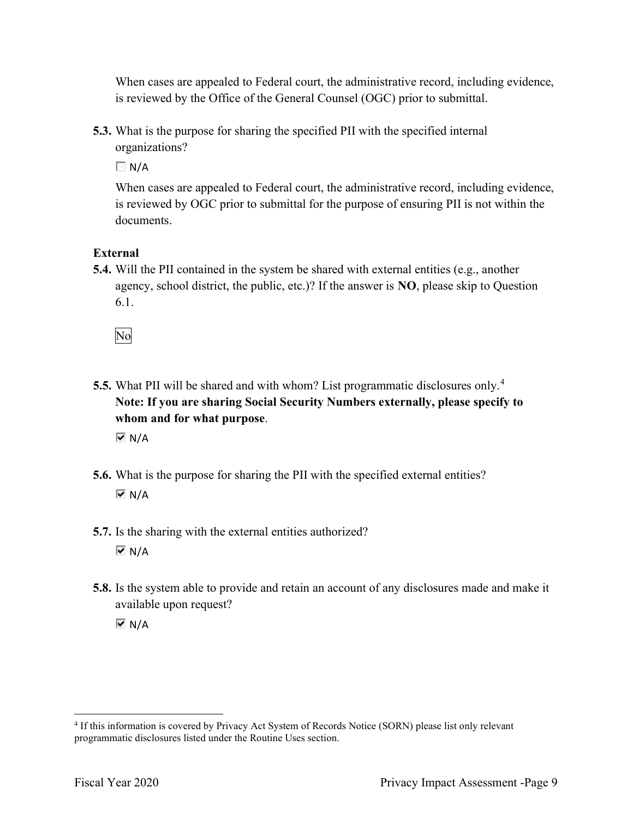When cases are appealed to Federal court, the administrative record, including evidence, is reviewed by the Office of the General Counsel (OGC) prior to submittal.

 5.3. What is the purpose for sharing the specified PII with the specified internal organizations?

 $\Box$  N/A

 When cases are appealed to Federal court, the administrative record, including evidence, is reviewed by OGC prior to submittal for the purpose of ensuring PII is not within the documents.

## External

 5.4. Will the PII contained in the system be shared with external entities (e.g., another agency, school district, the public, etc.)? If the answer is  $NO$ , please skip to Question 6.1.

No

5.5. What PII will be shared and with whom? List programmatic disclosures only.<sup>4</sup> Note: If you are sharing Social Security Numbers externally, please specify to whom and for what purpose.

 $\overline{M}$  N/A

- 5.6. What is the purpose for sharing the PII with the specified external entities?  $\overline{M}$  N/A
- 5.7. Is the sharing with the external entities authorized?  $\overline{M}$  N/A
- 5.8. Is the system able to provide and retain an account of any disclosures made and make it available upon request?  $\overline{M}$  N/A

 <sup>4</sup> If this information is covered by Privacy Act System of Records Notice (SORN) please list only relevant programmatic disclosures listed under the Routine Uses section.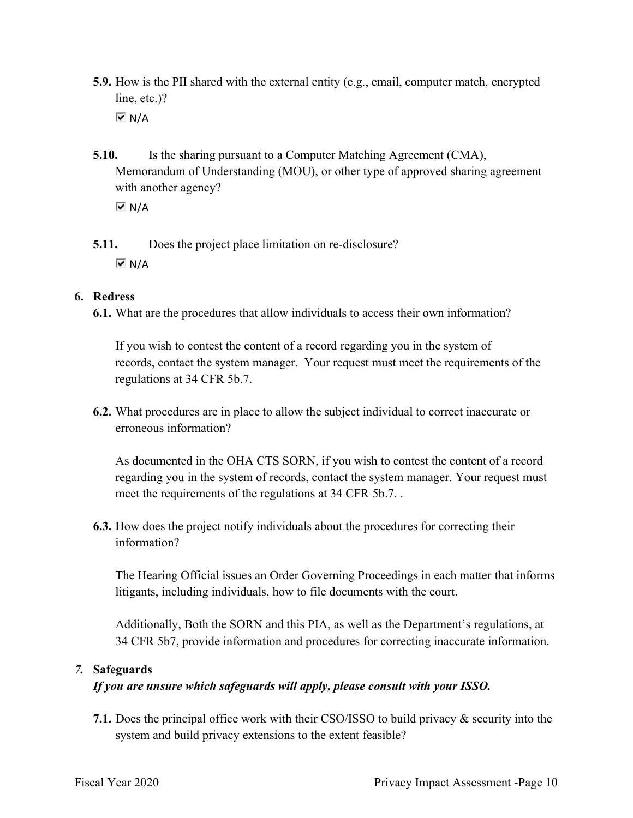- 5.9. How is the PII shared with the external entity (e.g., email, computer match, encrypted line, etc.)?  $\overline{M}$  N/A
- **5.10.** Is the sharing pursuant to a Computer Matching Agreement (CMA), Memorandum of Understanding (MOU), or other type of approved sharing agreement with another agency?

 $\overline{M}$  N/A

 5.11. Does the project place limitation on re-disclosure?  $\overline{M}$  N/A

#### 6. Redress

6.1. What are the procedures that allow individuals to access their own information?

 If you wish to contest the content of a record regarding you in the system of records, contact the system manager. Your request must meet the requirements of the regulations at 34 CFR 5b.7.

 6.2. What procedures are in place to allow the subject individual to correct inaccurate or erroneous information?

 As documented in the OHA CTS SORN, if you wish to contest the content of a record regarding you in the system of records, contact the system manager. Your request must meet the requirements of the regulations at 34 CFR 5b.7. .

 6.3. How does the project notify individuals about the procedures for correcting their information?

 The Hearing Official issues an Order Governing Proceedings in each matter that informs litigants, including individuals, how to file documents with the court.

 Additionally, Both the SORN and this PIA, as well as the Department's regulations, at 34 CFR 5b7, provide information and procedures for correcting inaccurate information.

#### 7. Safeguards

#### If you are unsure which safeguards will apply, please consult with your ISSO.

 7.1. Does the principal office work with their CSO/ISSO to build privacy & security into the system and build privacy extensions to the extent feasible?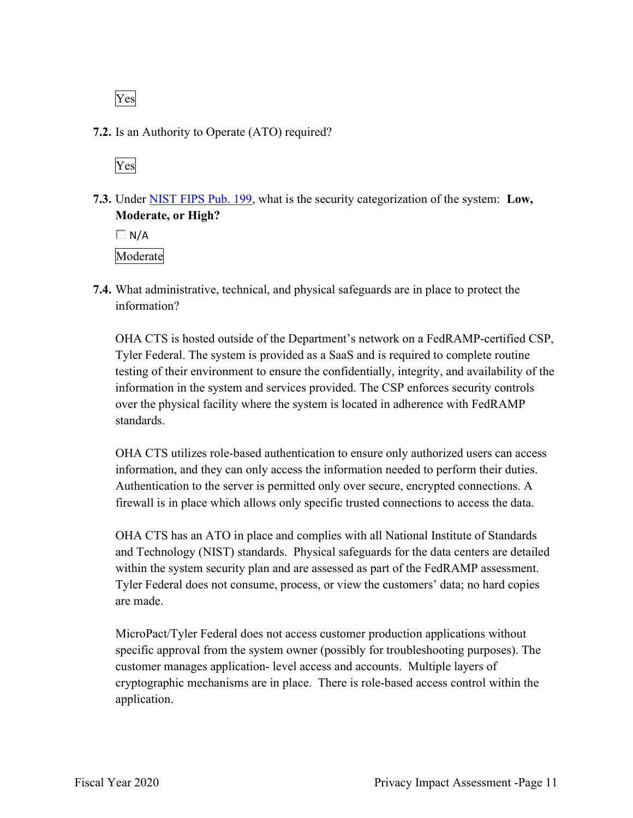Yes

7.2. Is an Authority to Operate (ATO) required?



7.3. Under NIST FIPS Pub. 199, what is the security categorization of the system: Low, Moderate, or High?

 $\Box$  N/A Moderate

 7.4. What administrative, technical, and physical safeguards are in place to protect the information?

 OHA CTS is hosted outside of the Department's network on a FedRAMP-certified CSP, Tyler Federal. The system is provided as a SaaS and is required to complete routine testing of their environment to ensure the confidentially, integrity, and availability of the information in the system and services provided. The CSP enforces security controls over the physical facility where the system is located in adherence with FedRAMP standards.

 OHA CTS utilizes role-based authentication to ensure only authorized users can access information, and they can only access the information needed to perform their duties. Authentication to the server is permitted only over secure, encrypted connections. A firewall is in place which allows only specific trusted connections to access the data.

 OHA CTS has an ATO in place and complies with all National Institute of Standards and Technology (NIST) standards. Physical safeguards for the data centers are detailed within the system security plan and are assessed as part of the FedRAMP assessment. Tyler Federal does not consume, process, or view the customers' data; no hard copies are made.

 MicroPact/Tyler Federal does not access customer production applications without specific approval from the system owner (possibly for troubleshooting purposes). The customer manages application- level access and accounts. Multiple layers of cryptographic mechanisms are in place. There is role-based access control within the application.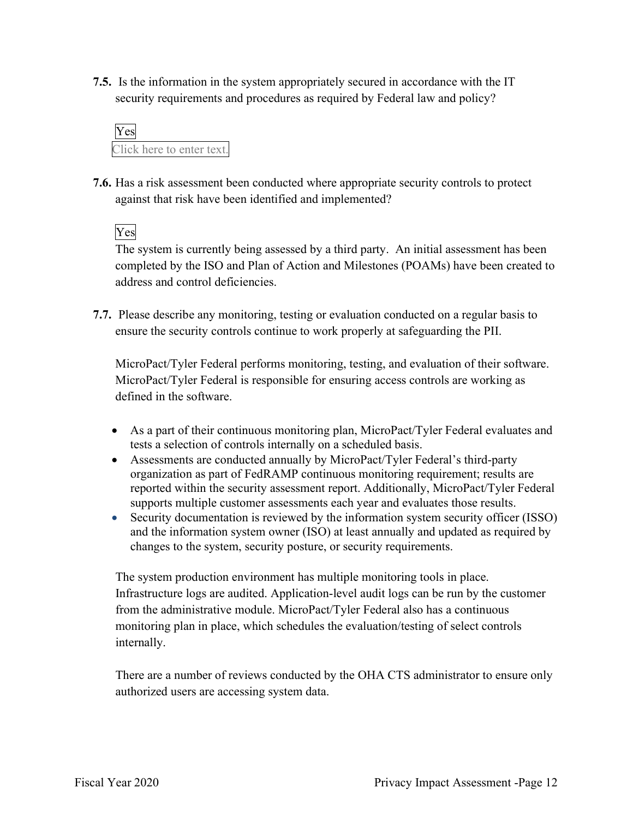7.5. Is the information in the system appropriately secured in accordance with the IT security requirements and procedures as required by Federal law and policy?



 7.6. Has a risk assessment been conducted where appropriate security controls to protect against that risk have been identified and implemented?

Yes

 The system is currently being assessed by a third party. An initial assessment has been completed by the ISO and Plan of Action and Milestones (POAMs) have been created to address and control deficiencies.

 7.7. Please describe any monitoring, testing or evaluation conducted on a regular basis to ensure the security controls continue to work properly at safeguarding the PII.

 MicroPact/Tyler Federal performs monitoring, testing, and evaluation of their software. MicroPact/Tyler Federal is responsible for ensuring access controls are working as defined in the software.

- As a part of their continuous monitoring plan, MicroPact/Tyler Federal evaluates and tests a selection of controls internally on a scheduled basis.
- Assessments are conducted annually by MicroPact/Tyler Federal's third-party organization as part of FedRAMP continuous monitoring requirement; results are reported within the security assessment report. Additionally, MicroPact/Tyler Federal supports multiple customer assessments each year and evaluates those results.
- Security documentation is reviewed by the information system security officer (ISSO) and the information system owner (ISO) at least annually and updated as required by changes to the system, security posture, or security requirements.

 The system production environment has multiple monitoring tools in place. Infrastructure logs are audited. Application-level audit logs can be run by the customer from the administrative module. MicroPact/Tyler Federal also has a continuous monitoring plan in place, which schedules the evaluation/testing of select controls internally.

 There are a number of reviews conducted by the OHA CTS administrator to ensure only authorized users are accessing system data.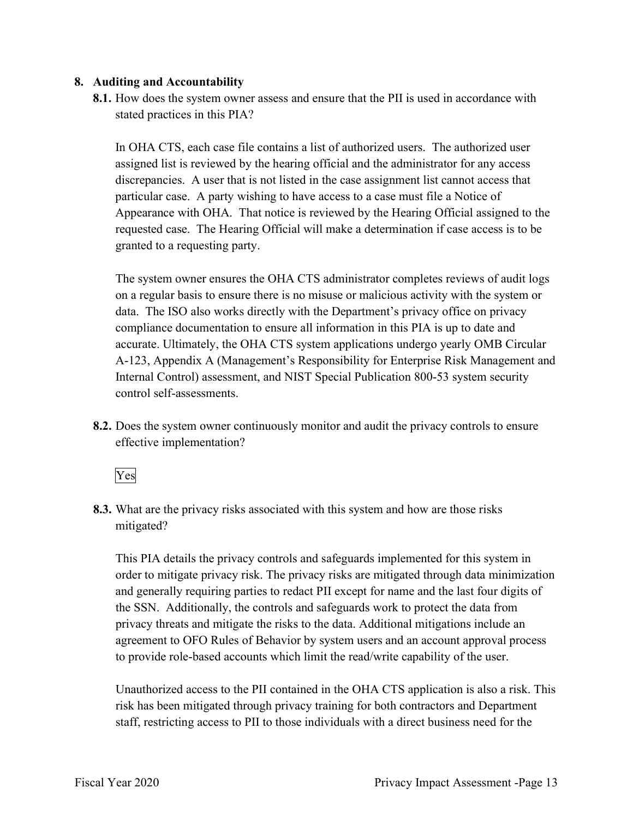#### 8. Auditing and Accountability

8.1. How does the system owner assess and ensure that the PII is used in accordance with stated practices in this PIA?

 In OHA CTS, each case file contains a list of authorized users. The authorized user assigned list is reviewed by the hearing official and the administrator for any access discrepancies. A user that is not listed in the case assignment list cannot access that particular case. A party wishing to have access to a case must file a Notice of Appearance with OHA. That notice is reviewed by the Hearing Official assigned to the requested case. The Hearing Official will make a determination if case access is to be granted to a requesting party.

 The system owner ensures the OHA CTS administrator completes reviews of audit logs on a regular basis to ensure there is no misuse or malicious activity with the system or data. The ISO also works directly with the Department's privacy office on privacy compliance documentation to ensure all information in this PIA is up to date and accurate. Ultimately, the OHA CTS system applications undergo yearly OMB Circular A-123, Appendix A (Management's Responsibility for Enterprise Risk Management and Internal Control) assessment, and NIST Special Publication 800-53 system security control self-assessments.

8.2. Does the system owner continuously monitor and audit the privacy controls to ensure effective implementation?



 8.3. What are the privacy risks associated with this system and how are those risks mitigated?

 This PIA details the privacy controls and safeguards implemented for this system in order to mitigate privacy risk. The privacy risks are mitigated through data minimization and generally requiring parties to redact PII except for name and the last four digits of the SSN. Additionally, the controls and safeguards work to protect the data from privacy threats and mitigate the risks to the data. Additional mitigations include an agreement to OFO Rules of Behavior by system users and an account approval process to provide role-based accounts which limit the read/write capability of the user.

 Unauthorized access to the PII contained in the OHA CTS application is also a risk. This risk has been mitigated through privacy training for both contractors and Department staff, restricting access to PII to those individuals with a direct business need for the